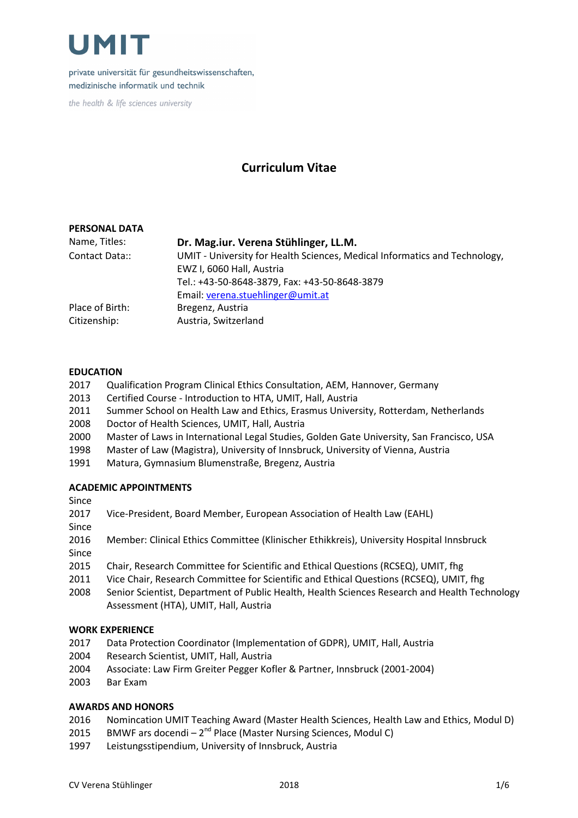

private universität für gesundheitswissenschaften, medizinische informatik und technik

the health & life sciences university

## Curriculum Vitae

### PERSONAL DATA

| Name, Titles:   | Dr. Mag.iur. Verena Stühlinger, LL.M.                                      |
|-----------------|----------------------------------------------------------------------------|
| Contact Data::  | UMIT - University for Health Sciences, Medical Informatics and Technology, |
|                 | EWZ I, 6060 Hall, Austria                                                  |
|                 | Tel.: +43-50-8648-3879, Fax: +43-50-8648-3879                              |
|                 | Email: verena.stuehlinger@umit.at                                          |
| Place of Birth: | Bregenz, Austria                                                           |
| Citizenship:    | Austria, Switzerland                                                       |

#### EDUCATION

- 2017 Qualification Program Clinical Ethics Consultation, AEM, Hannover, Germany
- 2013 Certified Course Introduction to HTA, UMIT, Hall, Austria
- 2011 Summer School on Health Law and Ethics, Erasmus University, Rotterdam, Netherlands
- 2008 Doctor of Health Sciences, UMIT, Hall, Austria
- 2000 Master of Laws in International Legal Studies, Golden Gate University, San Francisco, USA
- 1998 Master of Law (Magistra), University of Innsbruck, University of Vienna, Austria
- 1991 Matura, Gymnasium Blumenstraße, Bregenz, Austria

### ACADEMIC APPOINTMENTS

Since

| 2017 | Vice-President, Board Member, European Association of Health Law (EAHL) |  |
|------|-------------------------------------------------------------------------|--|
|      |                                                                         |  |
|      |                                                                         |  |

Since

- 2016 Member: Clinical Ethics Committee (Klinischer Ethikkreis), University Hospital Innsbruck Since
- 2015 Chair, Research Committee for Scientific and Ethical Questions (RCSEQ), UMIT, fhg
- 2011 Vice Chair, Research Committee for Scientific and Ethical Questions (RCSEQ), UMIT, fhg
- 2008 Senior Scientist, Department of Public Health, Health Sciences Research and Health Technology Assessment (HTA), UMIT, Hall, Austria

#### WORK EXPERIENCE

- 2017 Data Protection Coordinator (Implementation of GDPR), UMIT, Hall, Austria
- 2004 Research Scientist, UMIT, Hall, Austria
- 2004 Associate: Law Firm Greiter Pegger Kofler & Partner, Innsbruck (2001-2004)
- 2003 Bar Exam

### AWARDS AND HONORS

- 2016 Nomincation UMIT Teaching Award (Master Health Sciences, Health Law and Ethics, Modul D)
- 2015 BMWF ars docendi –  $2^{nd}$  Place (Master Nursing Sciences, Modul C)
- 1997 Leistungsstipendium, University of Innsbruck, Austria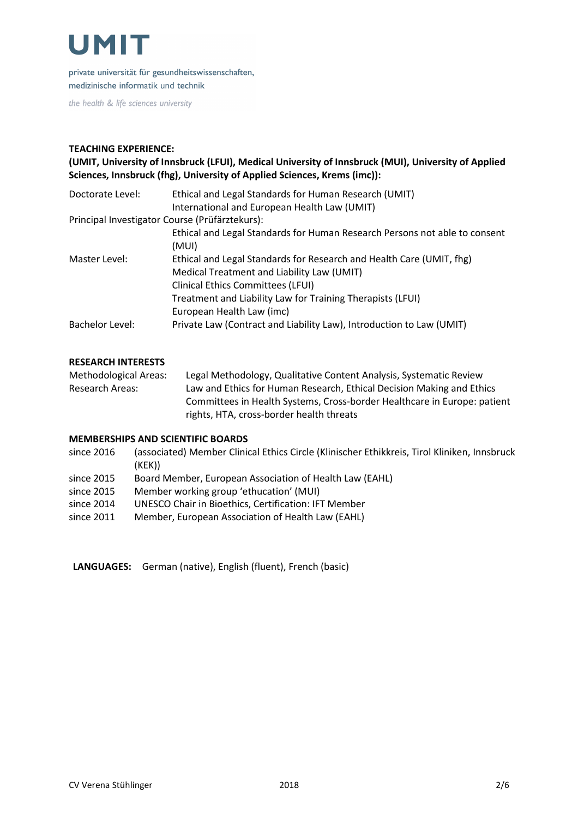

private universität für gesundheitswissenschaften, medizinische informatik und technik

the health & life sciences university

### TEACHING EXPERIENCE:

### (UMIT, University of Innsbruck (LFUI), Medical University of Innsbruck (MUI), University of Applied Sciences, Innsbruck (fhg), University of Applied Sciences, Krems (imc)):

| Doctorate Level:                               | Ethical and Legal Standards for Human Research (UMIT)                      |
|------------------------------------------------|----------------------------------------------------------------------------|
|                                                | International and European Health Law (UMIT)                               |
| Principal Investigator Course (Prüfärztekurs): |                                                                            |
|                                                | Ethical and Legal Standards for Human Research Persons not able to consent |
|                                                | (MUI)                                                                      |
| Master Level:                                  | Ethical and Legal Standards for Research and Health Care (UMIT, fhg)       |
|                                                | Medical Treatment and Liability Law (UMIT)                                 |
|                                                | <b>Clinical Ethics Committees (LFUI)</b>                                   |
|                                                | Treatment and Liability Law for Training Therapists (LFUI)                 |
|                                                | European Health Law (imc)                                                  |
| Bachelor Level:                                | Private Law (Contract and Liability Law), Introduction to Law (UMIT)       |

#### RESEARCH INTERESTS

Methodological Areas: Legal Methodology, Qualitative Content Analysis, Systematic Review Research Areas: Law and Ethics for Human Research, Ethical Decision Making and Ethics Committees in Health Systems, Cross-border Healthcare in Europe: patient rights, HTA, cross-border health threats

#### MEMBERSHIPS AND SCIENTIFIC BOARDS

- since 2016 (associated) Member Clinical Ethics Circle (Klinischer Ethikkreis, Tirol Kliniken, Innsbruck (KEK))
- since 2015 Board Member, European Association of Health Law (EAHL)
- since 2015 Member working group 'ethucation' (MUI)
- since 2014 UNESCO Chair in Bioethics, Certification: IFT Member
- since 2011 Member, European Association of Health Law (EAHL)

LANGUAGES: German (native), English (fluent), French (basic)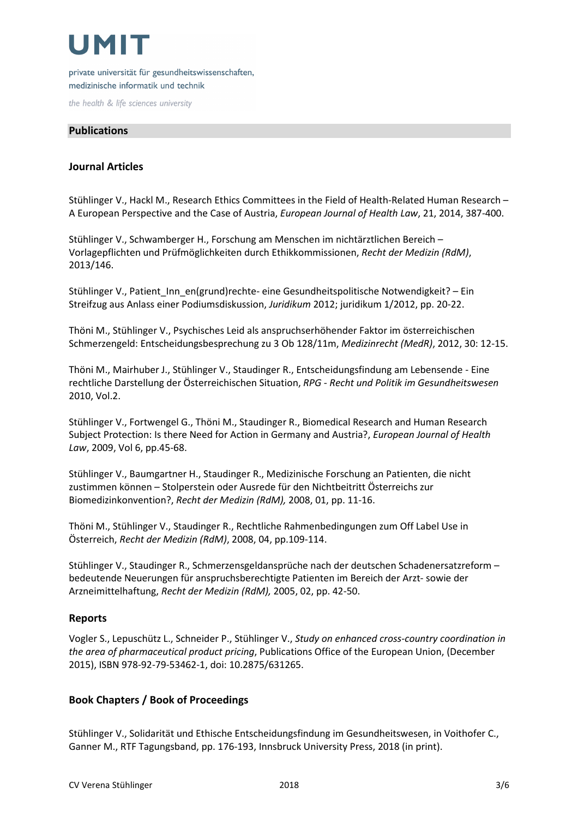private universität für gesundheitswissenschaften, medizinische informatik und technik

the health & life sciences university

## Publications

## Journal Articles

Stühlinger V., Hackl M., Research Ethics Committees in the Field of Health-Related Human Research – A European Perspective and the Case of Austria, European Journal of Health Law, 21, 2014, 387-400.

Stühlinger V., Schwamberger H., Forschung am Menschen im nichtärztlichen Bereich – Vorlagepflichten und Prüfmöglichkeiten durch Ethikkommissionen, Recht der Medizin (RdM), 2013/146.

Stühlinger V., Patient\_Inn\_en(grund)rechte- eine Gesundheitspolitische Notwendigkeit? – Ein Streifzug aus Anlass einer Podiumsdiskussion, Juridikum 2012; juridikum 1/2012, pp. 20-22.

Thöni M., Stühlinger V., Psychisches Leid als anspruchserhöhender Faktor im österreichischen Schmerzengeld: Entscheidungsbesprechung zu 3 Ob 128/11m, Medizinrecht (MedR), 2012, 30: 12-15.

Thöni M., Mairhuber J., Stühlinger V., Staudinger R., Entscheidungsfindung am Lebensende - Eine rechtliche Darstellung der Österreichischen Situation, RPG - Recht und Politik im Gesundheitswesen 2010, Vol.2.

Stühlinger V., Fortwengel G., Thöni M., Staudinger R., Biomedical Research and Human Research Subject Protection: Is there Need for Action in Germany and Austria?, European Journal of Health Law, 2009, Vol 6, pp.45-68.

Stühlinger V., Baumgartner H., Staudinger R., Medizinische Forschung an Patienten, die nicht zustimmen können – Stolperstein oder Ausrede für den Nichtbeitritt Österreichs zur Biomedizinkonvention?, Recht der Medizin (RdM), 2008, 01, pp. 11-16.

Thöni M., Stühlinger V., Staudinger R., Rechtliche Rahmenbedingungen zum Off Label Use in Österreich, Recht der Medizin (RdM), 2008, 04, pp.109-114.

Stühlinger V., Staudinger R., Schmerzensgeldansprüche nach der deutschen Schadenersatzreform – bedeutende Neuerungen für anspruchsberechtigte Patienten im Bereich der Arzt- sowie der Arzneimittelhaftung, Recht der Medizin (RdM), 2005, 02, pp. 42-50.

## Reports

Vogler S., Lepuschütz L., Schneider P., Stühlinger V., Study on enhanced cross-country coordination in the area of pharmaceutical product pricing, Publications Office of the European Union, (December 2015), ISBN 978-92-79-53462-1, doi: 10.2875/631265.

## Book Chapters / Book of Proceedings

Stühlinger V., Solidarität und Ethische Entscheidungsfindung im Gesundheitswesen, in Voithofer C., Ganner M., RTF Tagungsband, pp. 176-193, Innsbruck University Press, 2018 (in print).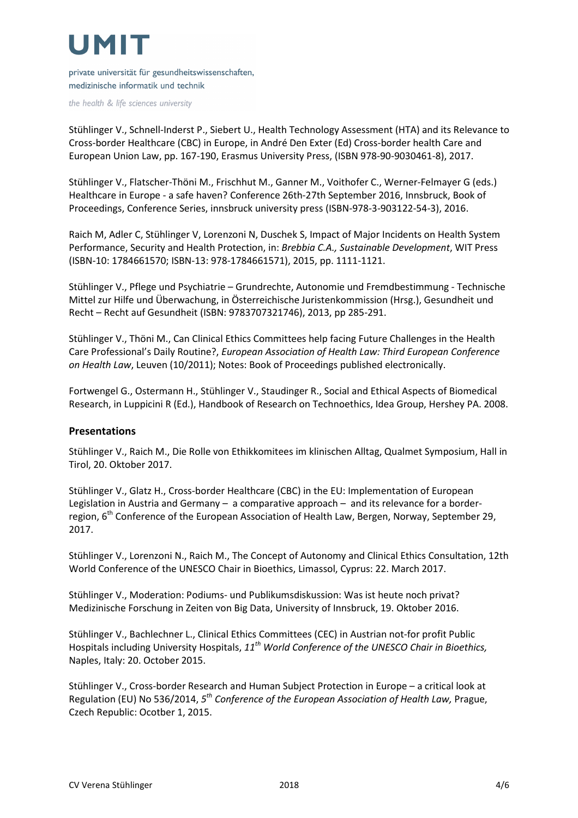private universität für gesundheitswissenschaften, medizinische informatik und technik

the health & life sciences university

Stühlinger V., Schnell-Inderst P., Siebert U., Health Technology Assessment (HTA) and its Relevance to Cross-border Healthcare (CBC) in Europe, in André Den Exter (Ed) Cross-border health Care and European Union Law, pp. 167-190, Erasmus University Press, (ISBN 978-90-9030461-8), 2017.

Stühlinger V., Flatscher-Thöni M., Frischhut M., Ganner M., Voithofer C., Werner-Felmayer G (eds.) Healthcare in Europe - a safe haven? Conference 26th-27th September 2016, Innsbruck, Book of Proceedings, Conference Series, innsbruck university press (ISBN-978-3-903122-54-3), 2016.

Raich M, Adler C, Stühlinger V, Lorenzoni N, Duschek S, Impact of Major Incidents on Health System Performance, Security and Health Protection, in: Brebbia C.A., Sustainable Development, WIT Press (ISBN-10: 1784661570; ISBN-13: 978-1784661571), 2015, pp. 1111-1121.

Stühlinger V., Pflege und Psychiatrie – Grundrechte, Autonomie und Fremdbestimmung - Technische Mittel zur Hilfe und Überwachung, in Österreichische Juristenkommission (Hrsg.), Gesundheit und Recht – Recht auf Gesundheit (ISBN: 9783707321746), 2013, pp 285-291.

Stühlinger V., Thöni M., Can Clinical Ethics Committees help facing Future Challenges in the Health Care Professional's Daily Routine?, European Association of Health Law: Third European Conference on Health Law, Leuven (10/2011); Notes: Book of Proceedings published electronically.

Fortwengel G., Ostermann H., Stühlinger V., Staudinger R., Social and Ethical Aspects of Biomedical Research, in Luppicini R (Ed.), Handbook of Research on Technoethics, Idea Group, Hershey PA. 2008.

### Presentations

Stühlinger V., Raich M., Die Rolle von Ethikkomitees im klinischen Alltag, Qualmet Symposium, Hall in Tirol, 20. Oktober 2017.

Stühlinger V., Glatz H., Cross-border Healthcare (CBC) in the EU: Implementation of European Legislation in Austria and Germany – a comparative approach – and its relevance for a borderregion, 6<sup>th</sup> Conference of the European Association of Health Law, Bergen, Norway, September 29, 2017.

Stühlinger V., Lorenzoni N., Raich M., The Concept of Autonomy and Clinical Ethics Consultation, 12th World Conference of the UNESCO Chair in Bioethics, Limassol, Cyprus: 22. March 2017.

Stühlinger V., Moderation: Podiums- und Publikumsdiskussion: Was ist heute noch privat? Medizinische Forschung in Zeiten von Big Data, University of Innsbruck, 19. Oktober 2016.

Stühlinger V., Bachlechner L., Clinical Ethics Committees (CEC) in Austrian not-for profit Public Hospitals including University Hospitals,  $11^{th}$  World Conference of the UNESCO Chair in Bioethics, Naples, Italy: 20. October 2015.

Stühlinger V., Cross-border Research and Human Subject Protection in Europe – a critical look at Regulation (EU) No 536/2014, 5<sup>th</sup> Conference of the European Association of Health Law, Prague, Czech Republic: Ocotber 1, 2015.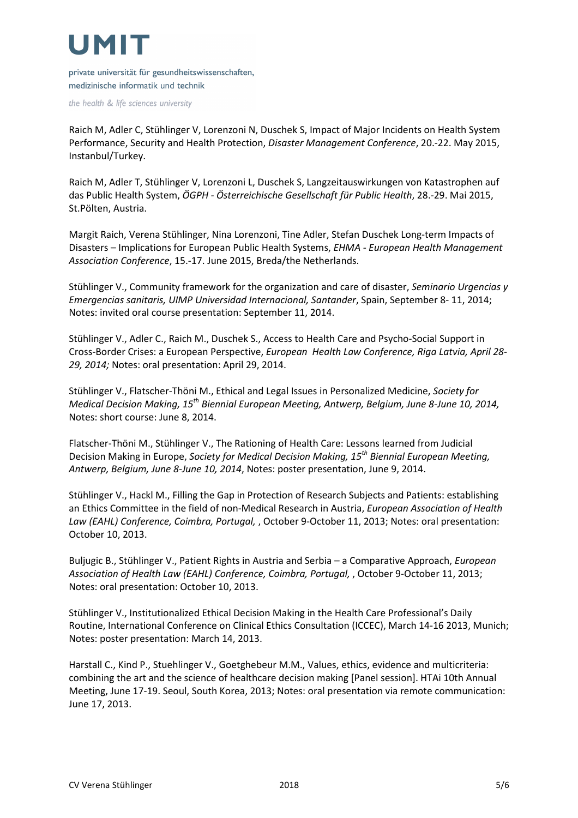private universität für gesundheitswissenschaften, medizinische informatik und technik

the health & life sciences university

Raich M, Adler C, Stühlinger V, Lorenzoni N, Duschek S, Impact of Major Incidents on Health System Performance, Security and Health Protection, Disaster Management Conference, 20.-22. May 2015, Instanbul/Turkey.

Raich M, Adler T, Stühlinger V, Lorenzoni L, Duschek S, Langzeitauswirkungen von Katastrophen auf das Public Health System, ÖGPH - Österreichische Gesellschaft für Public Health, 28.-29. Mai 2015, St.Pölten, Austria.

Margit Raich, Verena Stühlinger, Nina Lorenzoni, Tine Adler, Stefan Duschek Long-term Impacts of Disasters – Implications for European Public Health Systems, EHMA - European Health Management Association Conference, 15.-17. June 2015, Breda/the Netherlands.

Stühlinger V., Community framework for the organization and care of disaster, Seminario Urgencias y Emergencias sanitaris, UIMP Universidad Internacional, Santander, Spain, September 8- 11, 2014; Notes: invited oral course presentation: September 11, 2014.

Stühlinger V., Adler C., Raich M., Duschek S., Access to Health Care and Psycho-Social Support in Cross-Border Crises: a European Perspective, European Health Law Conference, Riga Latvia, April 28- 29, 2014; Notes: oral presentation: April 29, 2014.

Stühlinger V., Flatscher-Thöni M., Ethical and Legal Issues in Personalized Medicine, Society for Medical Decision Making, 15<sup>th</sup> Biennial European Meeting, Antwerp, Belgium, June 8-June 10, 2014, Notes: short course: June 8, 2014.

Flatscher-Thöni M., Stühlinger V., The Rationing of Health Care: Lessons learned from Judicial Decision Making in Europe, Society for Medical Decision Making, 15<sup>th</sup> Biennial European Meeting, Antwerp, Belgium, June 8-June 10, 2014, Notes: poster presentation, June 9, 2014.

Stühlinger V., Hackl M., Filling the Gap in Protection of Research Subjects and Patients: establishing an Ethics Committee in the field of non-Medical Research in Austria, European Association of Health Law (EAHL) Conference, Coimbra, Portugal, , October 9-October 11, 2013; Notes: oral presentation: October 10, 2013.

Buljugic B., Stühlinger V., Patient Rights in Austria and Serbia – a Comparative Approach, European Association of Health Law (EAHL) Conference, Coimbra, Portugal, , October 9-October 11, 2013; Notes: oral presentation: October 10, 2013.

Stühlinger V., Institutionalized Ethical Decision Making in the Health Care Professional's Daily Routine, International Conference on Clinical Ethics Consultation (ICCEC), March 14-16 2013, Munich; Notes: poster presentation: March 14, 2013.

Harstall C., Kind P., Stuehlinger V., Goetghebeur M.M., Values, ethics, evidence and multicriteria: combining the art and the science of healthcare decision making [Panel session]. HTAi 10th Annual Meeting, June 17-19. Seoul, South Korea, 2013; Notes: oral presentation via remote communication: June 17, 2013.